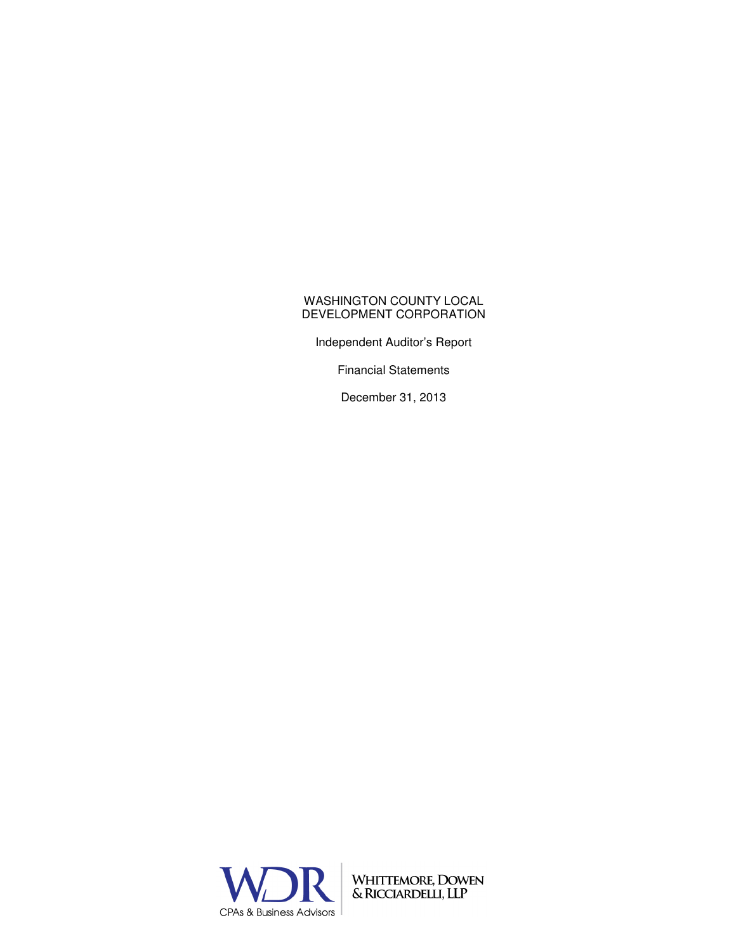Independent Auditor's Report

Financial Statements

December 31, 2013



WHITTEMORE, DOWEN<br>& RICCIARDELLI, LLP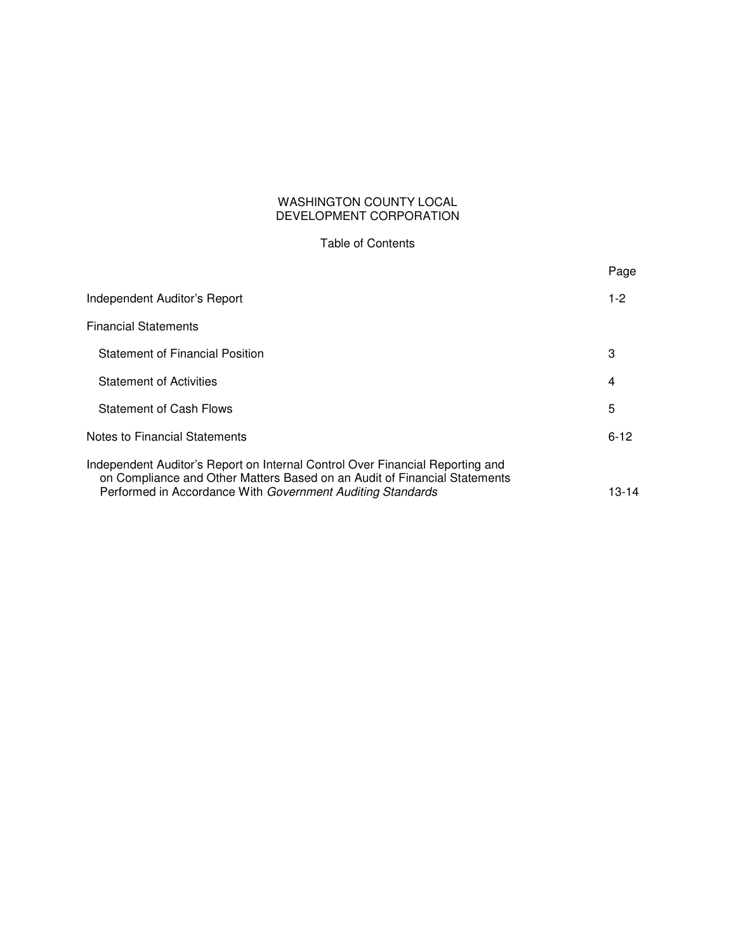# Table of Contents

|                                                                                                                                                                                                                          | Page     |
|--------------------------------------------------------------------------------------------------------------------------------------------------------------------------------------------------------------------------|----------|
| Independent Auditor's Report                                                                                                                                                                                             | $1 - 2$  |
| <b>Financial Statements</b>                                                                                                                                                                                              |          |
| <b>Statement of Financial Position</b>                                                                                                                                                                                   | 3        |
| <b>Statement of Activities</b>                                                                                                                                                                                           | 4        |
| <b>Statement of Cash Flows</b>                                                                                                                                                                                           | 5        |
| Notes to Financial Statements                                                                                                                                                                                            | $6 - 12$ |
| Independent Auditor's Report on Internal Control Over Financial Reporting and<br>on Compliance and Other Matters Based on an Audit of Financial Statements<br>Performed in Accordance With Government Auditing Standards | 13-14    |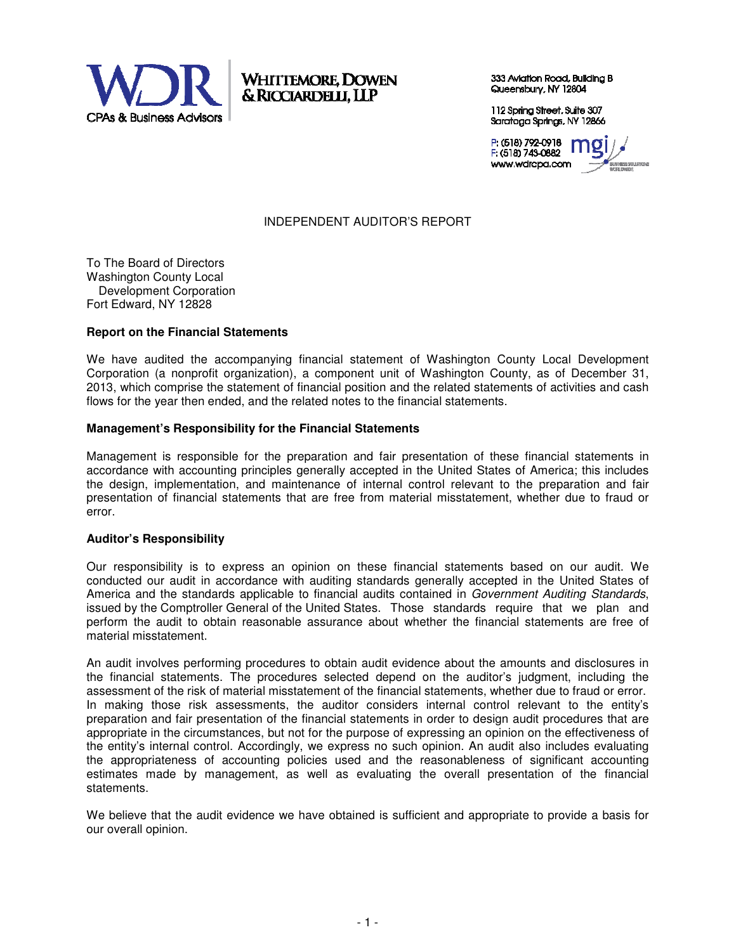

**WHITTEMORE, DOWEN** & RICCIARDELLI, LLP

333 Aviation Road, Building B Queensbury, NY 12804

112 Spring Street, Suite 307 Saratoga Springs, NY 12866

P (518) 792-0918 F (518) 743-0882 www.wdrcpa.com



# INDEPENDENT AUDITOR'S REPORT

To The Board of Directors Washington County Local Development Corporation Fort Edward, NY 12828

## **Report on the Financial Statements**

We have audited the accompanying financial statement of Washington County Local Development Corporation (a nonprofit organization), a component unit of Washington County, as of December 31, 2013, which comprise the statement of financial position and the related statements of activities and cash flows for the year then ended, and the related notes to the financial statements.

#### **Management's Responsibility for the Financial Statements**

Management is responsible for the preparation and fair presentation of these financial statements in accordance with accounting principles generally accepted in the United States of America; this includes the design, implementation, and maintenance of internal control relevant to the preparation and fair presentation of financial statements that are free from material misstatement, whether due to fraud or error.

## **Auditor's Responsibility**

Our responsibility is to express an opinion on these financial statements based on our audit. We conducted our audit in accordance with auditing standards generally accepted in the United States of America and the standards applicable to financial audits contained in Government Auditing Standards, issued by the Comptroller General of the United States. Those standards require that we plan and perform the audit to obtain reasonable assurance about whether the financial statements are free of material misstatement.

An audit involves performing procedures to obtain audit evidence about the amounts and disclosures in the financial statements. The procedures selected depend on the auditor's judgment, including the assessment of the risk of material misstatement of the financial statements, whether due to fraud or error. In making those risk assessments, the auditor considers internal control relevant to the entity's preparation and fair presentation of the financial statements in order to design audit procedures that are appropriate in the circumstances, but not for the purpose of expressing an opinion on the effectiveness of the entity's internal control. Accordingly, we express no such opinion. An audit also includes evaluating the appropriateness of accounting policies used and the reasonableness of significant accounting estimates made by management, as well as evaluating the overall presentation of the financial statements.

We believe that the audit evidence we have obtained is sufficient and appropriate to provide a basis for our overall opinion.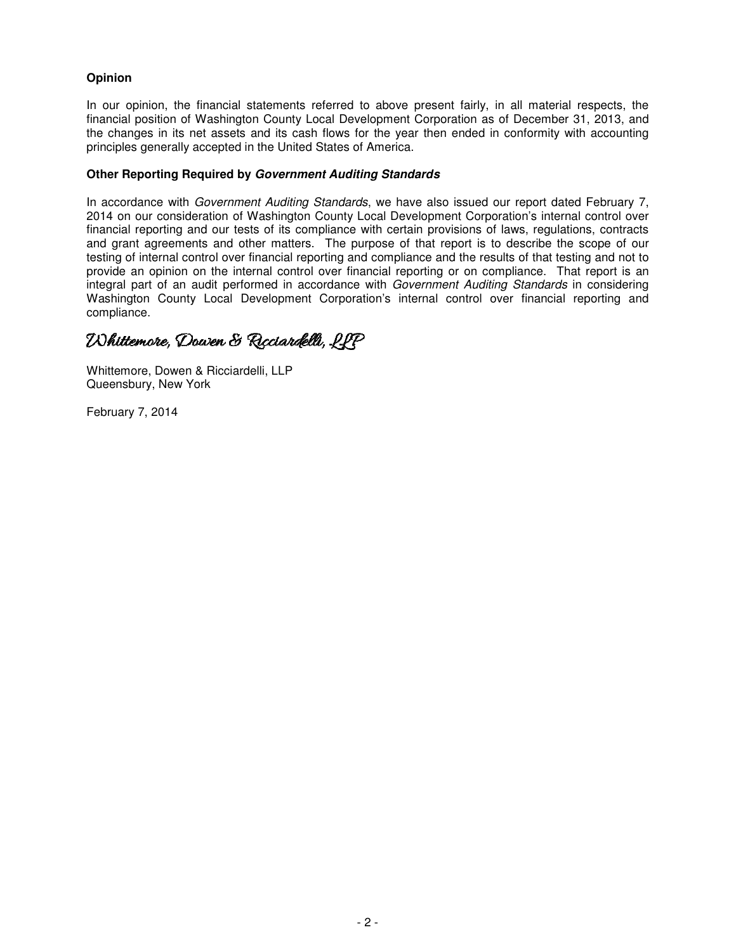# **Opinion**

In our opinion, the financial statements referred to above present fairly, in all material respects, the financial position of Washington County Local Development Corporation as of December 31, 2013, and the changes in its net assets and its cash flows for the year then ended in conformity with accounting principles generally accepted in the United States of America.

## **Other Reporting Required by Government Auditing Standards**

In accordance with Government Auditing Standards, we have also issued our report dated February 7, 2014 on our consideration of Washington County Local Development Corporation's internal control over financial reporting and our tests of its compliance with certain provisions of laws, regulations, contracts and grant agreements and other matters. The purpose of that report is to describe the scope of our testing of internal control over financial reporting and compliance and the results of that testing and not to provide an opinion on the internal control over financial reporting or on compliance. That report is an integral part of an audit performed in accordance with Government Auditing Standards in considering Washington County Local Development Corporation's internal control over financial reporting and compliance.

# **INhittemore, Dowen & Ricciardelli, LIP**

Whittemore, Dowen & Ricciardelli, LLP Queensbury, New York

February 7, 2014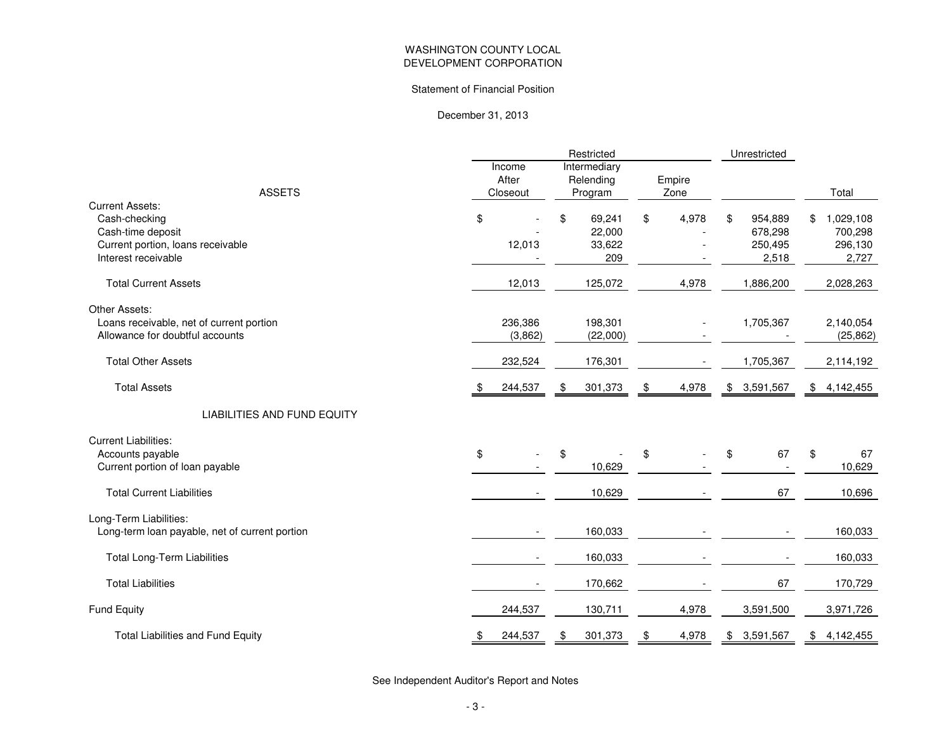#### Statement of Financial Position

December 31, 2013

|                                                |               | Restricted             |             | Unrestricted             |                            |
|------------------------------------------------|---------------|------------------------|-------------|--------------------------|----------------------------|
|                                                | Income        | Intermediary           |             |                          |                            |
|                                                | After         | Relending              | Empire      |                          |                            |
| <b>ASSETS</b>                                  | Closeout      | Program                | Zone        |                          | Total                      |
| <b>Current Assets:</b>                         |               |                        |             |                          |                            |
| Cash-checking<br>Cash-time deposit             | \$            | \$<br>69,241<br>22,000 | \$<br>4,978 | 954,889<br>\$<br>678,298 | \$<br>1,029,108<br>700,298 |
| Current portion, loans receivable              | 12,013        | 33,622                 |             | 250,495                  | 296,130                    |
| Interest receivable                            |               | 209                    |             | 2,518                    | 2,727                      |
|                                                |               |                        |             |                          |                            |
| <b>Total Current Assets</b>                    | 12,013        | 125,072                | 4,978       | 1,886,200                | 2,028,263                  |
| Other Assets:                                  |               |                        |             |                          |                            |
| Loans receivable, net of current portion       | 236,386       | 198,301                |             | 1,705,367                | 2,140,054                  |
| Allowance for doubtful accounts                | (3,862)       | (22,000)               |             |                          | (25, 862)                  |
| <b>Total Other Assets</b>                      | 232,524       | 176,301                |             | 1,705,367                | 2,114,192                  |
| <b>Total Assets</b>                            | 244,537       | 301,373<br>\$          | 4,978<br>\$ | 3,591,567<br>\$          | \$4,142,455                |
| LIABILITIES AND FUND EQUITY                    |               |                        |             |                          |                            |
| <b>Current Liabilities:</b>                    |               |                        |             |                          |                            |
| Accounts payable                               | \$            | \$                     | \$          | 67<br>\$                 | \$<br>67                   |
| Current portion of loan payable                |               | 10,629                 |             |                          | 10,629                     |
| <b>Total Current Liabilities</b>               |               | 10,629                 |             | 67                       | 10,696                     |
| Long-Term Liabilities:                         |               |                        |             |                          |                            |
| Long-term loan payable, net of current portion |               | 160,033                |             |                          | 160,033                    |
| <b>Total Long-Term Liabilities</b>             |               | 160,033                |             |                          | 160,033                    |
| <b>Total Liabilities</b>                       |               | 170,662                |             | 67                       | 170,729                    |
| <b>Fund Equity</b>                             | 244,537       | 130,711                | 4,978       | 3,591,500                | 3,971,726                  |
| Total Liabilities and Fund Equity              | 244,537<br>\$ | 301,373<br>\$          | 4,978<br>\$ | 3,591,567<br>\$          | \$4,142,455                |
|                                                |               |                        |             |                          |                            |

See Independent Auditor's Report and Notes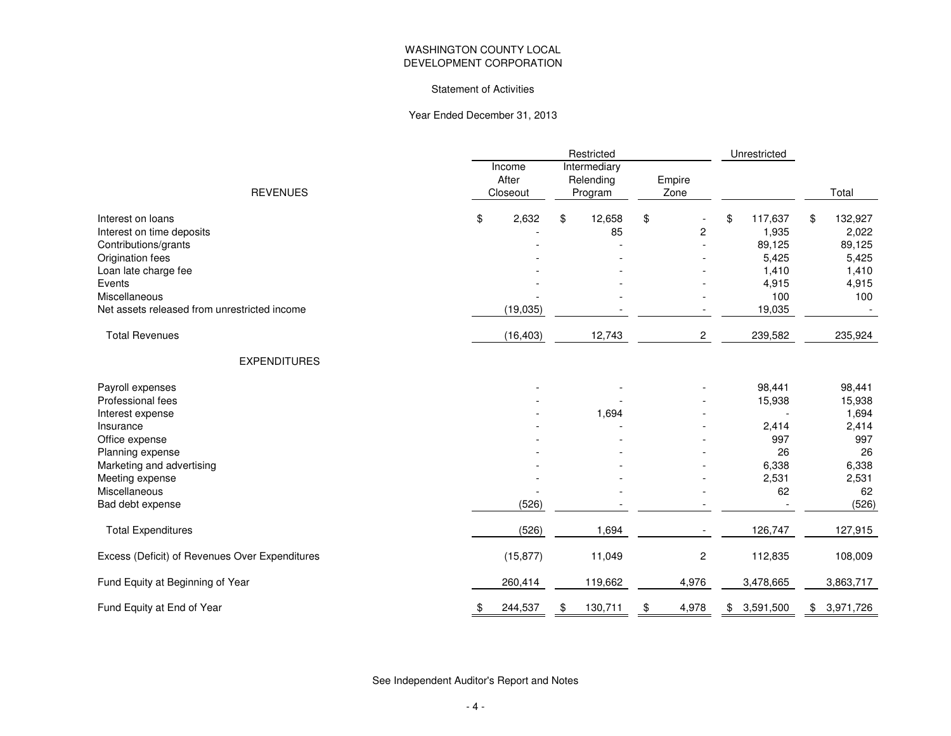#### Statement of Activities

#### Year Ended December 31, 2013

|                                                                                                                                                              |                             | Unrestricted                         |                      |                                                             |                                                                   |
|--------------------------------------------------------------------------------------------------------------------------------------------------------------|-----------------------------|--------------------------------------|----------------------|-------------------------------------------------------------|-------------------------------------------------------------------|
| <b>REVENUES</b>                                                                                                                                              | Income<br>After<br>Closeout | Intermediary<br>Relending<br>Program | Empire<br>Zone       |                                                             | Total                                                             |
| Interest on loans<br>Interest on time deposits<br>Contributions/grants<br>Origination fees<br>Loan late charge fee<br>Events                                 | \$<br>2,632                 | 12,658<br>\$<br>85                   | \$<br>$\overline{c}$ | \$<br>117,637<br>1,935<br>89,125<br>5,425<br>1,410<br>4,915 | \$<br>132,927<br>2,022<br>89,125<br>5,425<br>1,410<br>4,915       |
| Miscellaneous<br>Net assets released from unrestricted income                                                                                                | (19, 035)                   |                                      |                      | 100<br>19,035                                               | 100                                                               |
| <b>Total Revenues</b>                                                                                                                                        | (16, 403)                   | 12,743                               | $\overline{c}$       | 239,582                                                     | 235,924                                                           |
| <b>EXPENDITURES</b>                                                                                                                                          |                             |                                      |                      |                                                             |                                                                   |
| Payroll expenses<br>Professional fees<br>Interest expense<br>Insurance<br>Office expense<br>Planning expense<br>Marketing and advertising<br>Meeting expense |                             | 1,694                                |                      | 98,441<br>15,938<br>2,414<br>997<br>26<br>6,338<br>2,531    | 98,441<br>15,938<br>1,694<br>2,414<br>997<br>26<br>6,338<br>2,531 |
| Miscellaneous<br>Bad debt expense                                                                                                                            | (526)                       |                                      |                      | 62                                                          | 62<br>(526)                                                       |
| <b>Total Expenditures</b>                                                                                                                                    | (526)                       | 1,694                                |                      | 126,747                                                     | 127,915                                                           |
| Excess (Deficit) of Revenues Over Expenditures                                                                                                               | (15, 877)                   | 11,049                               | $\overline{c}$       | 112,835                                                     | 108,009                                                           |
| Fund Equity at Beginning of Year                                                                                                                             | 260,414                     | 119,662                              | 4,976                | 3,478,665                                                   | 3,863,717                                                         |
| Fund Equity at End of Year                                                                                                                                   | 244,537<br>\$               | 130,711<br>\$                        | 4,978<br>\$          | 3,591,500<br>\$                                             | 3,971,726<br>\$                                                   |

See Independent Auditor's Report and Notes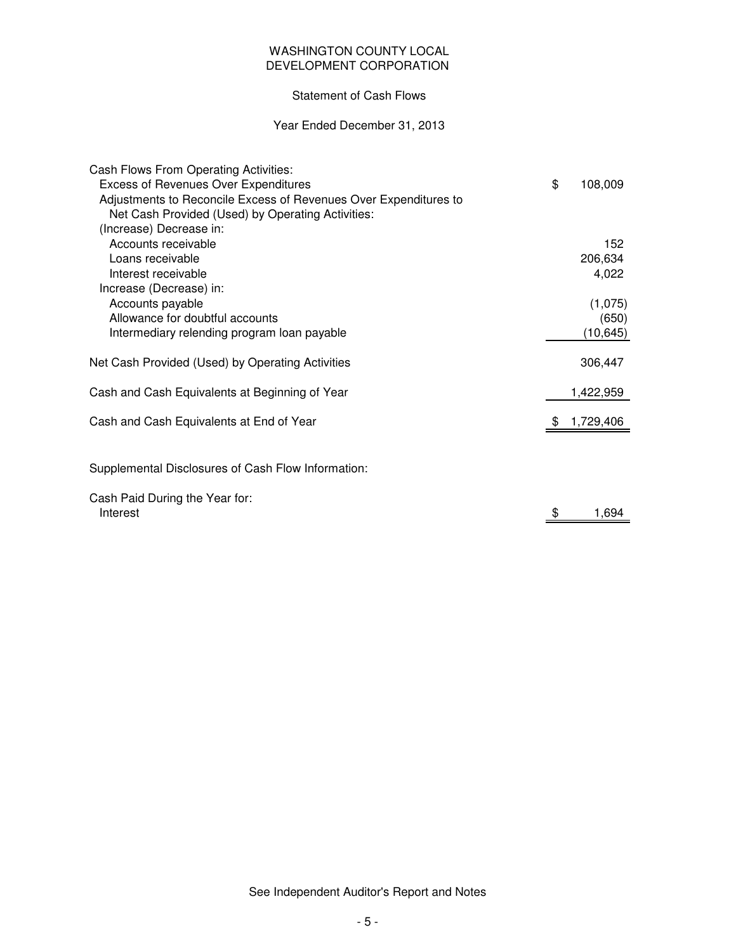# DEVELOPMENT CORPORATION WASHINGTON COUNTY LOCAL

# Statement of Cash Flows

## Year Ended December 31, 2013

| Cash Flows From Operating Activities:                            |               |
|------------------------------------------------------------------|---------------|
| <b>Excess of Revenues Over Expenditures</b>                      | \$<br>108,009 |
| Adjustments to Reconcile Excess of Revenues Over Expenditures to |               |
| Net Cash Provided (Used) by Operating Activities:                |               |
| (Increase) Decrease in:                                          |               |
| Accounts receivable                                              | 152           |
| Loans receivable                                                 | 206,634       |
| Interest receivable                                              | 4,022         |
| Increase (Decrease) in:                                          |               |
| Accounts payable                                                 | (1,075)       |
| Allowance for doubtful accounts                                  | (650)         |
| Intermediary relending program loan payable                      | (10, 645)     |
| Net Cash Provided (Used) by Operating Activities                 | 306,447       |
| Cash and Cash Equivalents at Beginning of Year                   | 1,422,959     |
| Cash and Cash Equivalents at End of Year                         | 1,729,406     |
|                                                                  |               |
| Supplemental Disclosures of Cash Flow Information:               |               |
| Cash Paid During the Year for:                                   |               |
| Interest                                                         | \$<br>1,694   |

See Independent Auditor's Report and Notes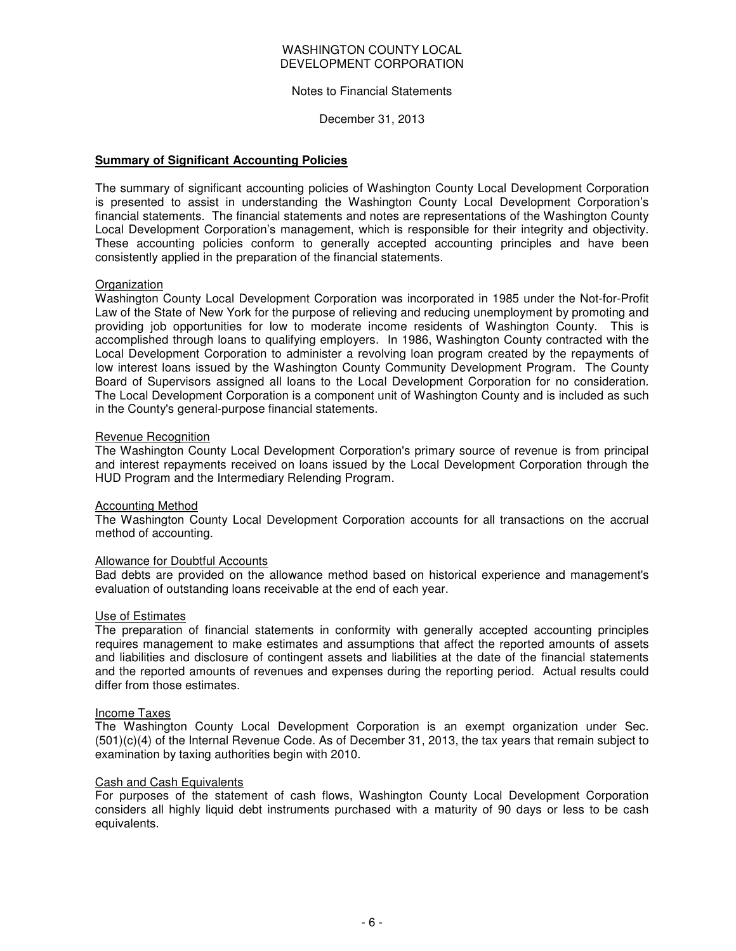#### Notes to Financial Statements

December 31, 2013

#### **Summary of Significant Accounting Policies**

The summary of significant accounting policies of Washington County Local Development Corporation is presented to assist in understanding the Washington County Local Development Corporation's financial statements. The financial statements and notes are representations of the Washington County Local Development Corporation's management, which is responsible for their integrity and objectivity. These accounting policies conform to generally accepted accounting principles and have been consistently applied in the preparation of the financial statements.

#### **Organization**

Washington County Local Development Corporation was incorporated in 1985 under the Not-for-Profit Law of the State of New York for the purpose of relieving and reducing unemployment by promoting and providing job opportunities for low to moderate income residents of Washington County. This is accomplished through loans to qualifying employers. In 1986, Washington County contracted with the Local Development Corporation to administer a revolving loan program created by the repayments of low interest loans issued by the Washington County Community Development Program. The County Board of Supervisors assigned all loans to the Local Development Corporation for no consideration. The Local Development Corporation is a component unit of Washington County and is included as such in the County's general-purpose financial statements.

#### Revenue Recognition

The Washington County Local Development Corporation's primary source of revenue is from principal and interest repayments received on loans issued by the Local Development Corporation through the HUD Program and the Intermediary Relending Program.

#### Accounting Method

The Washington County Local Development Corporation accounts for all transactions on the accrual method of accounting.

#### Allowance for Doubtful Accounts

Bad debts are provided on the allowance method based on historical experience and management's evaluation of outstanding loans receivable at the end of each year.

#### Use of Estimates

The preparation of financial statements in conformity with generally accepted accounting principles requires management to make estimates and assumptions that affect the reported amounts of assets and liabilities and disclosure of contingent assets and liabilities at the date of the financial statements and the reported amounts of revenues and expenses during the reporting period. Actual results could differ from those estimates.

#### Income Taxes

The Washington County Local Development Corporation is an exempt organization under Sec. (501)(c)(4) of the Internal Revenue Code. As of December 31, 2013, the tax years that remain subject to examination by taxing authorities begin with 2010.

#### Cash and Cash Equivalents

For purposes of the statement of cash flows, Washington County Local Development Corporation considers all highly liquid debt instruments purchased with a maturity of 90 days or less to be cash equivalents.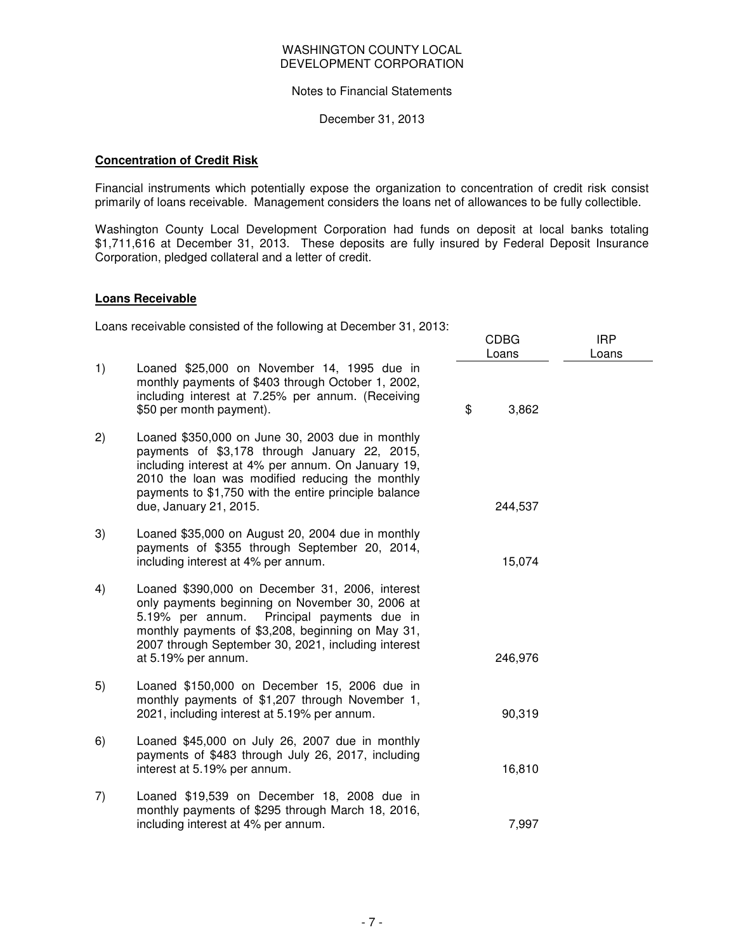### Notes to Financial Statements

December 31, 2013

## **Concentration of Credit Risk**

Financial instruments which potentially expose the organization to concentration of credit risk consist primarily of loans receivable. Management considers the loans net of allowances to be fully collectible.

Washington County Local Development Corporation had funds on deposit at local banks totaling \$1,711,616 at December 31, 2013. These deposits are fully insured by Federal Deposit Insurance Corporation, pledged collateral and a letter of credit.

## **Loans Receivable**

Loans receivable consisted of the following at December 31, 2013:

|    |                                                                                                                                                                                                                                                                                               | CDBG<br>Loans | <b>IRP</b><br>Loans |
|----|-----------------------------------------------------------------------------------------------------------------------------------------------------------------------------------------------------------------------------------------------------------------------------------------------|---------------|---------------------|
| 1) | Loaned \$25,000 on November 14, 1995 due in<br>monthly payments of \$403 through October 1, 2002,<br>including interest at 7.25% per annum. (Receiving<br>\$50 per month payment).                                                                                                            | \$<br>3,862   |                     |
| 2) | Loaned \$350,000 on June 30, 2003 due in monthly<br>payments of \$3,178 through January 22, 2015,<br>including interest at 4% per annum. On January 19,<br>2010 the loan was modified reducing the monthly<br>payments to \$1,750 with the entire principle balance<br>due, January 21, 2015. | 244,537       |                     |
| 3) | Loaned \$35,000 on August 20, 2004 due in monthly<br>payments of \$355 through September 20, 2014,<br>including interest at 4% per annum.                                                                                                                                                     | 15,074        |                     |
| 4) | Loaned \$390,000 on December 31, 2006, interest<br>only payments beginning on November 30, 2006 at<br>5.19% per annum.<br>Principal payments due in<br>monthly payments of \$3,208, beginning on May 31,<br>2007 through September 30, 2021, including interest<br>at 5.19% per annum.        | 246,976       |                     |
| 5) | Loaned \$150,000 on December 15, 2006 due in<br>monthly payments of \$1,207 through November 1,<br>2021, including interest at 5.19% per annum.                                                                                                                                               | 90,319        |                     |
| 6) | Loaned \$45,000 on July 26, 2007 due in monthly<br>payments of \$483 through July 26, 2017, including<br>interest at 5.19% per annum.                                                                                                                                                         | 16,810        |                     |
| 7) | Loaned \$19,539 on December 18, 2008 due in<br>monthly payments of \$295 through March 18, 2016,<br>including interest at 4% per annum.                                                                                                                                                       | 7,997         |                     |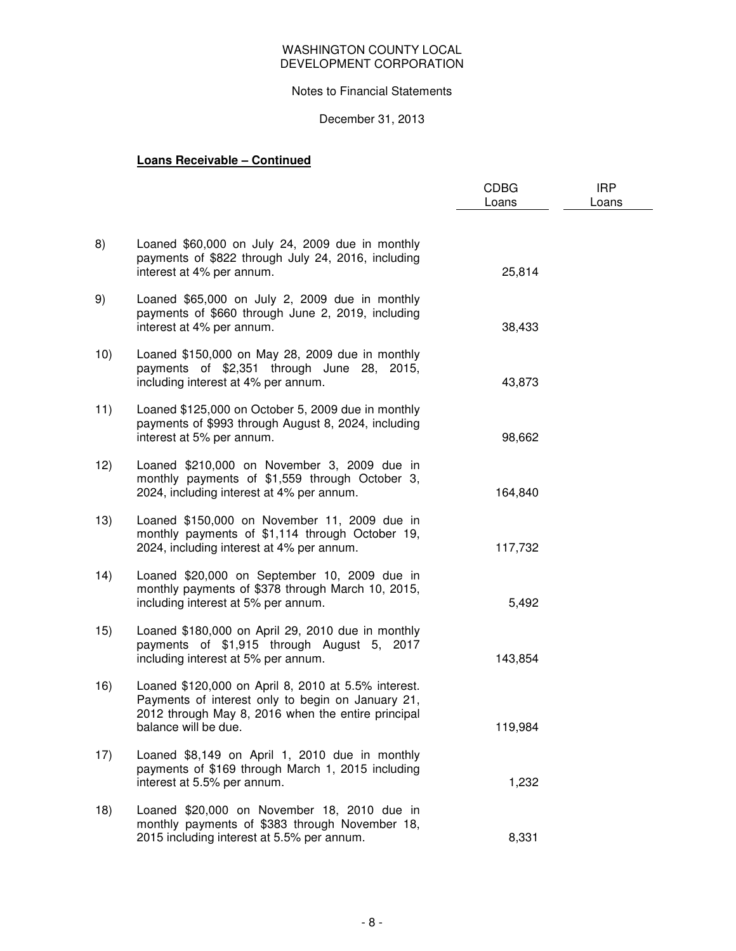## Notes to Financial Statements

# December 31, 2013

# **Loans Receivable – Continued**

|     |                                                                                                                                                                                        | <b>CDBG</b><br>Loans | <b>IRP</b><br>Loans |
|-----|----------------------------------------------------------------------------------------------------------------------------------------------------------------------------------------|----------------------|---------------------|
| 8)  | Loaned \$60,000 on July 24, 2009 due in monthly<br>payments of \$822 through July 24, 2016, including<br>interest at 4% per annum.                                                     | 25,814               |                     |
| 9)  | Loaned \$65,000 on July 2, 2009 due in monthly<br>payments of \$660 through June 2, 2019, including<br>interest at 4% per annum.                                                       | 38,433               |                     |
| 10) | Loaned \$150,000 on May 28, 2009 due in monthly<br>payments of \$2,351 through June 28, 2015,<br>including interest at 4% per annum.                                                   | 43,873               |                     |
| 11) | Loaned \$125,000 on October 5, 2009 due in monthly<br>payments of \$993 through August 8, 2024, including<br>interest at 5% per annum.                                                 | 98,662               |                     |
| 12) | Loaned \$210,000 on November 3, 2009 due in<br>monthly payments of \$1,559 through October 3,<br>2024, including interest at 4% per annum.                                             | 164,840              |                     |
| 13) | Loaned \$150,000 on November 11, 2009 due in<br>monthly payments of \$1,114 through October 19,<br>2024, including interest at 4% per annum.                                           | 117,732              |                     |
| 14) | Loaned \$20,000 on September 10, 2009 due in<br>monthly payments of \$378 through March 10, 2015,<br>including interest at 5% per annum.                                               | 5,492                |                     |
| 15) | Loaned \$180,000 on April 29, 2010 due in monthly<br>payments of \$1,915 through August 5, 2017<br>including interest at 5% per annum.                                                 | 143,854              |                     |
| 16) | Loaned \$120,000 on April 8, 2010 at 5.5% interest.<br>Payments of interest only to begin on January 21,<br>2012 through May 8, 2016 when the entire principal<br>balance will be due. | 119,984              |                     |
| 17) | Loaned \$8,149 on April 1, 2010 due in monthly<br>payments of \$169 through March 1, 2015 including<br>interest at 5.5% per annum.                                                     | 1,232                |                     |
| 18) | Loaned \$20,000 on November 18, 2010 due in<br>monthly payments of \$383 through November 18,<br>2015 including interest at 5.5% per annum.                                            | 8,331                |                     |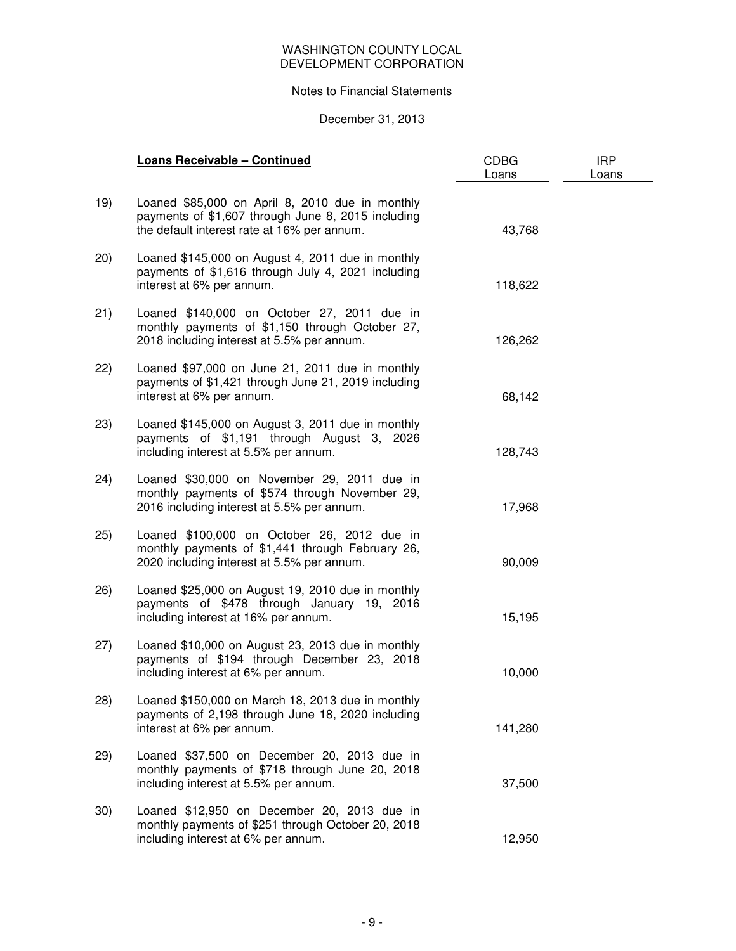## Notes to Financial Statements

## December 31, 2013

|      | <b>Loans Receivable - Continued</b>                                                                                                                  | <b>CDBG</b><br>Loans | <b>IRP</b><br>Loans |
|------|------------------------------------------------------------------------------------------------------------------------------------------------------|----------------------|---------------------|
| 19)  | Loaned \$85,000 on April 8, 2010 due in monthly<br>payments of \$1,607 through June 8, 2015 including<br>the default interest rate at 16% per annum. | 43,768               |                     |
| (20) | Loaned \$145,000 on August 4, 2011 due in monthly<br>payments of \$1,616 through July 4, 2021 including<br>interest at 6% per annum.                 | 118,622              |                     |
| 21)  | Loaned \$140,000 on October 27, 2011 due in<br>monthly payments of \$1,150 through October 27,<br>2018 including interest at 5.5% per annum.         | 126,262              |                     |
| (22) | Loaned \$97,000 on June 21, 2011 due in monthly<br>payments of \$1,421 through June 21, 2019 including<br>interest at 6% per annum.                  | 68,142               |                     |
| 23)  | Loaned \$145,000 on August 3, 2011 due in monthly<br>payments of \$1,191 through August 3, 2026<br>including interest at 5.5% per annum.             | 128,743              |                     |
| 24)  | Loaned \$30,000 on November 29, 2011 due in<br>monthly payments of \$574 through November 29,<br>2016 including interest at 5.5% per annum.          | 17,968               |                     |
| 25)  | Loaned \$100,000 on October 26, 2012 due in<br>monthly payments of \$1,441 through February 26,<br>2020 including interest at 5.5% per annum.        | 90,009               |                     |
| 26)  | Loaned \$25,000 on August 19, 2010 due in monthly<br>payments of \$478 through January 19, 2016<br>including interest at 16% per annum.              | 15,195               |                     |
| 27)  | Loaned \$10,000 on August 23, 2013 due in monthly<br>payments of \$194 through December 23, 2018<br>including interest at 6% per annum.              | 10,000               |                     |
| (28) | Loaned \$150,000 on March 18, 2013 due in monthly<br>payments of 2,198 through June 18, 2020 including<br>interest at 6% per annum.                  | 141,280              |                     |
| 29)  | Loaned \$37,500 on December 20, 2013 due in<br>monthly payments of \$718 through June 20, 2018<br>including interest at 5.5% per annum.              | 37,500               |                     |
| 30)  | Loaned \$12,950 on December 20, 2013 due in<br>monthly payments of \$251 through October 20, 2018<br>including interest at 6% per annum.             | 12,950               |                     |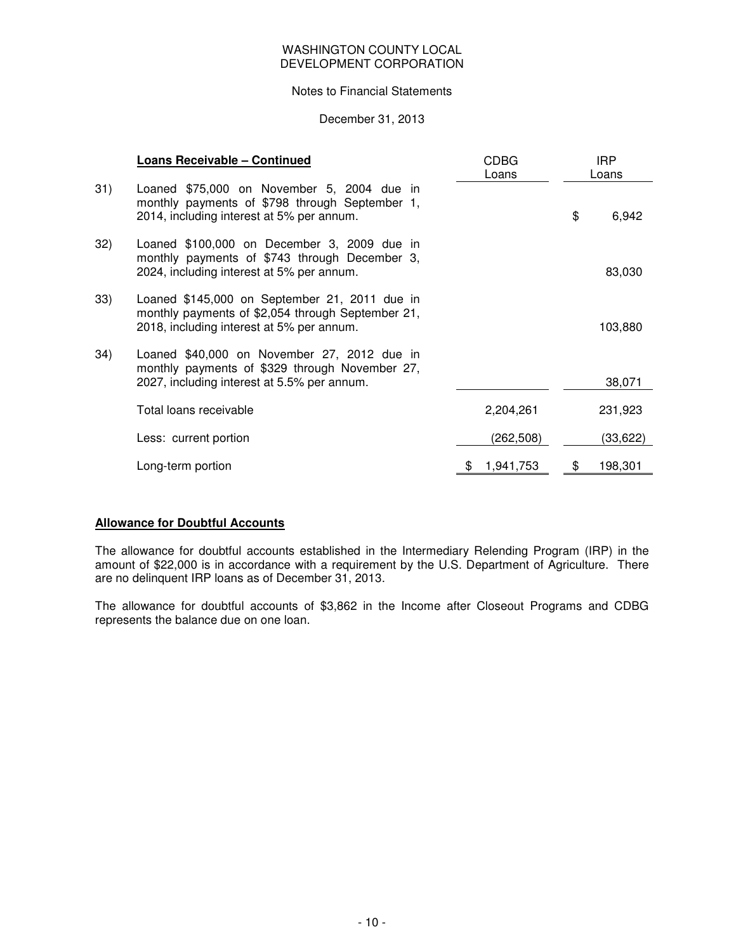#### Notes to Financial Statements

## December 31, 2013

|     | <b>Loans Receivable - Continued</b>                                                                                                             | <b>CDBG</b><br>Loans | <b>IRP</b><br>Loans |          |  |
|-----|-------------------------------------------------------------------------------------------------------------------------------------------------|----------------------|---------------------|----------|--|
| 31) | Loaned \$75,000 on November 5, 2004 due in<br>monthly payments of \$798 through September 1,<br>2014, including interest at 5% per annum.       |                      | \$                  | 6,942    |  |
| 32) | Loaned \$100,000 on December 3, 2009 due in<br>monthly payments of \$743 through December 3,<br>2024, including interest at 5% per annum.       |                      |                     | 83,030   |  |
| 33) | Loaned \$145,000 on September 21, 2011 due in<br>monthly payments of \$2,054 through September 21,<br>2018, including interest at 5% per annum. |                      |                     | 103,880  |  |
| 34) | Loaned \$40,000 on November 27, 2012 due in<br>monthly payments of \$329 through November 27,<br>2027, including interest at 5.5% per annum.    |                      |                     | 38,071   |  |
|     | Total loans receivable                                                                                                                          | 2,204,261            |                     | 231,923  |  |
|     | Less: current portion                                                                                                                           | (262, 508)           |                     | (33,622) |  |
|     | Long-term portion                                                                                                                               | 1,941,753            | \$                  | 198,301  |  |

# **Allowance for Doubtful Accounts**

The allowance for doubtful accounts established in the Intermediary Relending Program (IRP) in the amount of \$22,000 is in accordance with a requirement by the U.S. Department of Agriculture. There are no delinquent IRP loans as of December 31, 2013.

The allowance for doubtful accounts of \$3,862 in the Income after Closeout Programs and CDBG represents the balance due on one loan.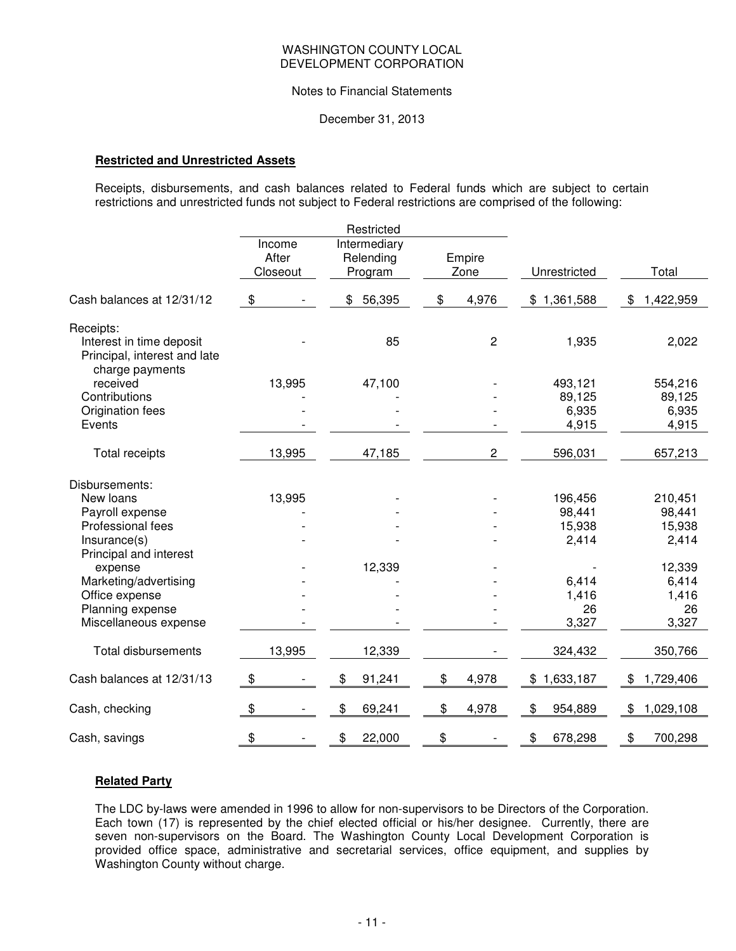#### Notes to Financial Statements

December 31, 2013

## **Restricted and Unrestricted Assets**

Receipts, disbursements, and cash balances related to Federal funds which are subject to certain restrictions and unrestricted funds not subject to Federal restrictions are comprised of the following:

|                                                                             |                             | Restricted                           |                |                 |                 |
|-----------------------------------------------------------------------------|-----------------------------|--------------------------------------|----------------|-----------------|-----------------|
|                                                                             | Income<br>After<br>Closeout | Intermediary<br>Relending<br>Program | Empire<br>Zone | Unrestricted    | Total           |
| Cash balances at 12/31/12                                                   | \$                          | \$<br>56,395                         | \$<br>4,976    | \$1,361,588     | \$<br>1,422,959 |
| Receipts:                                                                   |                             |                                      |                |                 |                 |
| Interest in time deposit<br>Principal, interest and late<br>charge payments |                             | 85                                   | $\overline{c}$ | 1,935           | 2,022           |
| received                                                                    | 13,995                      | 47,100                               |                | 493,121         | 554,216         |
| Contributions                                                               |                             |                                      |                | 89,125          | 89,125          |
| Origination fees                                                            |                             |                                      |                | 6,935           | 6,935           |
| Events                                                                      |                             |                                      |                | 4,915           | 4,915           |
| <b>Total receipts</b>                                                       | 13,995                      | 47,185                               | $\overline{2}$ | 596,031         | 657,213         |
| Disbursements:                                                              |                             |                                      |                |                 |                 |
| New loans                                                                   | 13,995                      |                                      |                | 196,456         | 210,451         |
| Payroll expense                                                             |                             |                                      |                | 98,441          | 98,441          |
| Professional fees                                                           |                             |                                      |                | 15,938          | 15,938          |
| Insurance(s)                                                                |                             |                                      |                | 2,414           | 2,414           |
| Principal and interest                                                      |                             |                                      |                |                 |                 |
| expense                                                                     |                             | 12,339                               |                |                 | 12,339          |
| Marketing/advertising                                                       |                             |                                      |                | 6,414           | 6,414           |
| Office expense                                                              |                             |                                      |                | 1,416           | 1,416           |
| Planning expense                                                            |                             |                                      |                | 26              | 26              |
| Miscellaneous expense                                                       |                             |                                      |                | 3,327           | 3,327           |
| <b>Total disbursements</b>                                                  | 13,995                      | 12,339                               |                | 324,432         | 350,766         |
| Cash balances at 12/31/13                                                   | \$                          | \$<br>91,241                         | \$<br>4,978    | \$<br>1,633,187 | \$<br>1,729,406 |
| Cash, checking                                                              | \$                          | \$<br>69,241                         | \$<br>4,978    | \$<br>954,889   | \$<br>1,029,108 |
| Cash, savings                                                               | \$                          | \$<br>22,000                         | \$             | \$<br>678,298   | \$<br>700,298   |

## **Related Party**

The LDC by-laws were amended in 1996 to allow for non-supervisors to be Directors of the Corporation. Each town (17) is represented by the chief elected official or his/her designee. Currently, there are seven non-supervisors on the Board. The Washington County Local Development Corporation is provided office space, administrative and secretarial services, office equipment, and supplies by Washington County without charge.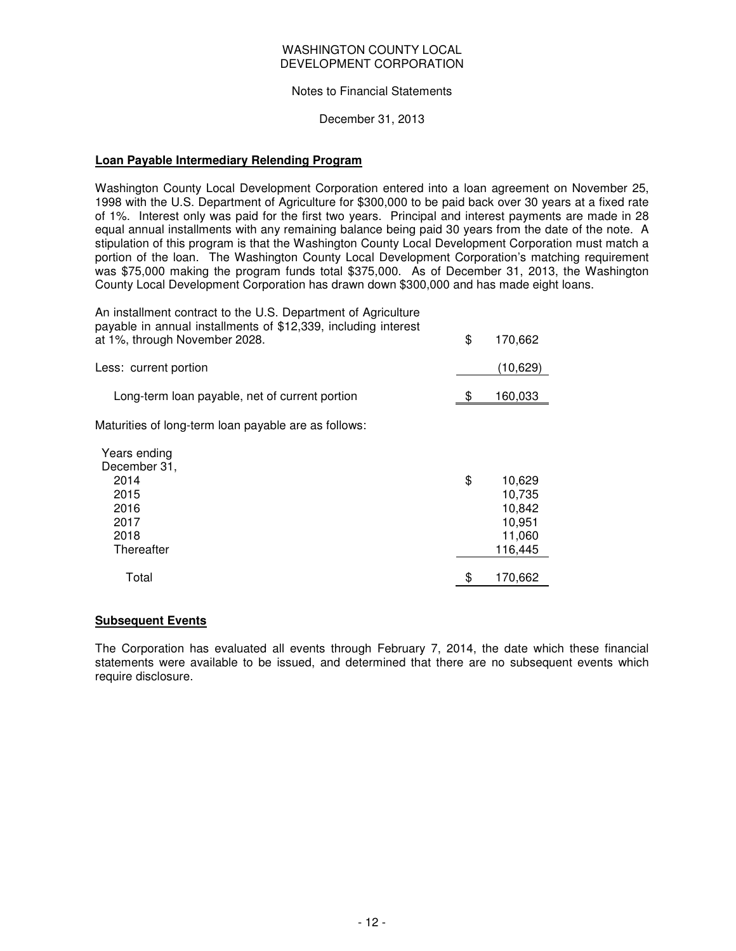### Notes to Financial Statements

December 31, 2013

#### **Loan Payable Intermediary Relending Program**

Washington County Local Development Corporation entered into a loan agreement on November 25, 1998 with the U.S. Department of Agriculture for \$300,000 to be paid back over 30 years at a fixed rate of 1%. Interest only was paid for the first two years. Principal and interest payments are made in 28 equal annual installments with any remaining balance being paid 30 years from the date of the note. A stipulation of this program is that the Washington County Local Development Corporation must match a portion of the loan. The Washington County Local Development Corporation's matching requirement was \$75,000 making the program funds total \$375,000. As of December 31, 2013, the Washington County Local Development Corporation has drawn down \$300,000 and has made eight loans.

An installment contract to the U.S. Department of Agriculture payable in annual installments of \$12,339, including interest

| at 1%, through November 2028.                                                      | \$<br>170,662                                                   |
|------------------------------------------------------------------------------------|-----------------------------------------------------------------|
| Less: current portion                                                              | (10, 629)                                                       |
| Long-term loan payable, net of current portion                                     | 160,033                                                         |
| Maturities of long-term loan payable are as follows:                               |                                                                 |
| Years ending<br>December 31,<br>2014<br>2015<br>2016<br>2017<br>2018<br>Thereafter | \$<br>10,629<br>10,735<br>10,842<br>10,951<br>11,060<br>116,445 |
| Total                                                                              | \$<br>170,662                                                   |

## **Subsequent Events**

The Corporation has evaluated all events through February 7, 2014, the date which these financial statements were available to be issued, and determined that there are no subsequent events which require disclosure.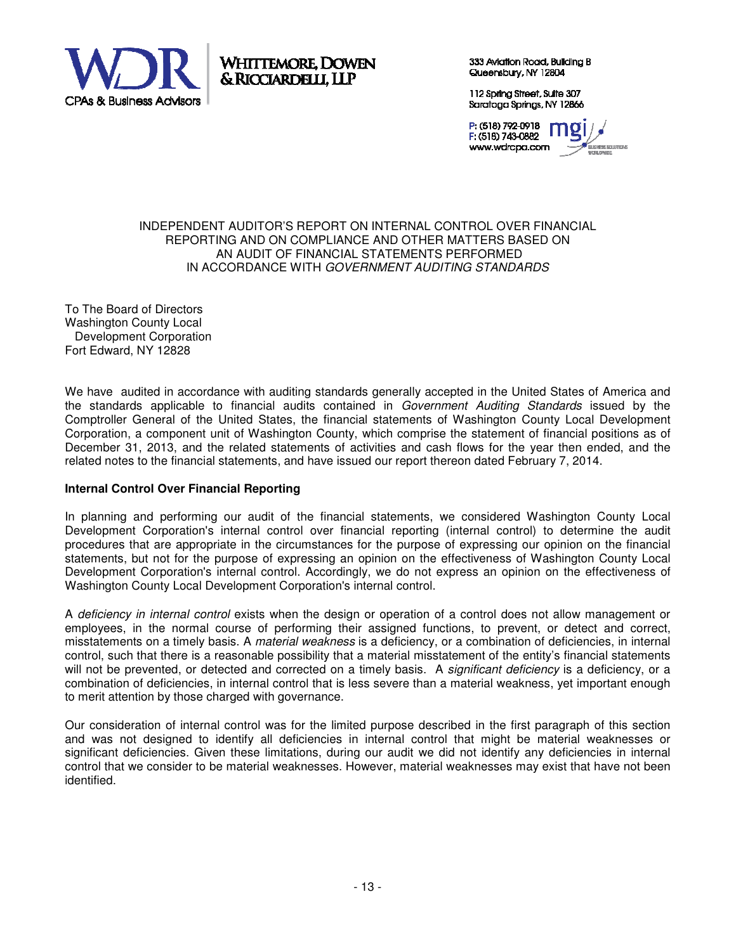

Whittemore. Dowen & RICCIARDELLI, LLP

333 Aviation Road, Building B Queensbury, NY 12804

112 Spring Street, Suite 307 Saratoga Springs, NY 12866

P (518) 792-0918 F (518) 743-0882 www.wdrcpa.com ESS SOLUTIONS

### INDEPENDENT AUDITOR'S REPORT ON INTERNAL CONTROL OVER FINANCIAL REPORTING AND ON COMPLIANCE AND OTHER MATTERS BASED ON AN AUDIT OF FINANCIAL STATEMENTS PERFORMED IN ACCORDANCE WITH GOVERNMENT AUDITING STANDARDS

To The Board of Directors Washington County Local Development Corporation Fort Edward, NY 12828

We have audited in accordance with auditing standards generally accepted in the United States of America and the standards applicable to financial audits contained in Government Auditing Standards issued by the Comptroller General of the United States, the financial statements of Washington County Local Development Corporation, a component unit of Washington County, which comprise the statement of financial positions as of December 31, 2013, and the related statements of activities and cash flows for the year then ended, and the related notes to the financial statements, and have issued our report thereon dated February 7, 2014.

# **Internal Control Over Financial Reporting**

In planning and performing our audit of the financial statements, we considered Washington County Local Development Corporation's internal control over financial reporting (internal control) to determine the audit procedures that are appropriate in the circumstances for the purpose of expressing our opinion on the financial statements, but not for the purpose of expressing an opinion on the effectiveness of Washington County Local Development Corporation's internal control. Accordingly, we do not express an opinion on the effectiveness of Washington County Local Development Corporation's internal control.

A deficiency in internal control exists when the design or operation of a control does not allow management or employees, in the normal course of performing their assigned functions, to prevent, or detect and correct, misstatements on a timely basis. A material weakness is a deficiency, or a combination of deficiencies, in internal control, such that there is a reasonable possibility that a material misstatement of the entity's financial statements will not be prevented, or detected and corrected on a timely basis. A *significant deficiency* is a deficiency, or a combination of deficiencies, in internal control that is less severe than a material weakness, yet important enough to merit attention by those charged with governance.

Our consideration of internal control was for the limited purpose described in the first paragraph of this section and was not designed to identify all deficiencies in internal control that might be material weaknesses or significant deficiencies. Given these limitations, during our audit we did not identify any deficiencies in internal control that we consider to be material weaknesses. However, material weaknesses may exist that have not been identified.